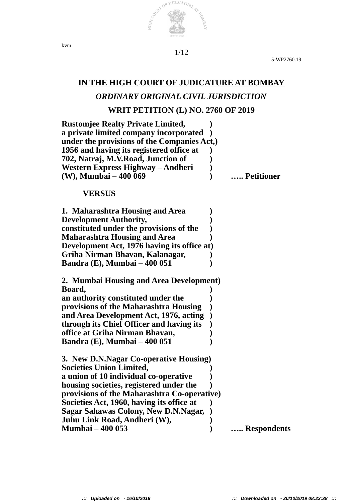

5-WP2760.19

# **IN THE HIGH COURT OF JUDICATURE AT BOMBAY** *ORDINARY ORIGINAL CIVIL JURISDICTION*

## **WRIT PETITION (L) NO. 2760 OF 2019**

| <b>Rustomjee Realty Private Limited,</b>    |             |
|---------------------------------------------|-------------|
| a private limited company incorporated      |             |
| under the provisions of the Companies Act,) |             |
| 1956 and having its registered office at    |             |
| 702, Natraj, M.V.Road, Junction of          |             |
| Western Express Highway – Andheri           |             |
| (W), Mumbai – 400 069                       | Petitioner  |
|                                             |             |
| <b>VERSUS</b>                               |             |
| 1. Maharashtra Housing and Area             |             |
| <b>Development Authority,</b>               |             |
| constituted under the provisions of the     |             |
| <b>Maharashtra Housing and Area</b>         |             |
| Development Act, 1976 having its office at) |             |
| Griha Nirman Bhavan, Kalanagar,             |             |
| <b>Bandra (E), Mumbai - 400 051</b>         |             |
|                                             |             |
| 2. Mumbai Housing and Area Development)     |             |
| Board,                                      |             |
| an authority constituted under the          |             |
| provisions of the Maharashtra Housing       |             |
| and Area Development Act, 1976, acting      |             |
| through its Chief Officer and having its    |             |
| office at Griha Nirman Bhavan,              |             |
| <b>Bandra (E), Mumbai – 400 051</b>         |             |
| 3. New D.N.Nagar Co-operative Housing)      |             |
| <b>Societies Union Limited,</b>             |             |
| a union of 10 individual co-operative       |             |
| housing societies, registered under the     |             |
| provisions of the Maharashtra Co-operative) |             |
| Societies Act, 1960, having its office at   |             |
| <b>Sagar Sahawas Colony, New D.N.Nagar,</b> |             |
| Juhu Link Road, Andheri (W),                |             |
| <b>Mumbai - 400 053</b>                     | Respondents |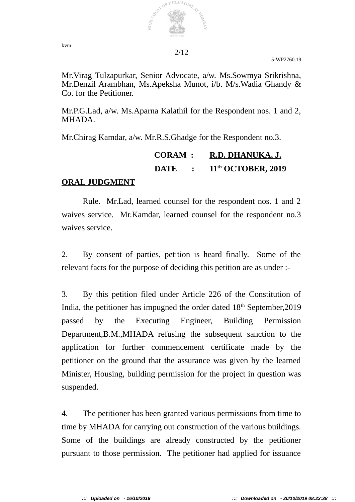

5-WP2760.19

Mr.Virag Tulzapurkar, Senior Advocate, a/w. Ms.Sowmya Srikrishna, Mr.Denzil Arambhan, Ms.Apeksha Munot, i/b. M/s.Wadia Ghandy & Co. for the Petitioner.

Mr.P.G.Lad, a/w. Ms.Aparna Kalathil for the Respondent nos. 1 and 2, MHADA.

Mr.Chirag Kamdar, a/w. Mr.R.S.Ghadge for the Respondent no.3.

 **CORAM : R.D. DHANUKA, J. DATE : 11th OCTOBER, 2019** 

### **ORAL JUDGMENT**

Rule. Mr.Lad, learned counsel for the respondent nos. 1 and 2 waives service. Mr.Kamdar, learned counsel for the respondent no.3 waives service.

2. By consent of parties, petition is heard finally. Some of the relevant facts for the purpose of deciding this petition are as under :-

3. By this petition filed under Article 226 of the Constitution of India, the petitioner has impugned the order dated 18<sup>th</sup> September, 2019 passed by the Executing Engineer, Building Permission Department,B.M.,MHADA refusing the subsequent sanction to the application for further commencement certificate made by the petitioner on the ground that the assurance was given by the learned Minister, Housing, building permission for the project in question was suspended.

4. The petitioner has been granted various permissions from time to time by MHADA for carrying out construction of the various buildings. Some of the buildings are already constructed by the petitioner pursuant to those permission. The petitioner had applied for issuance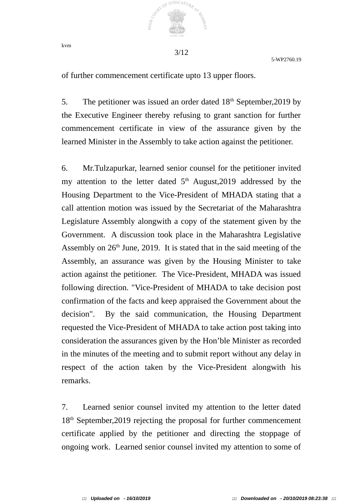

kvm

5-WP2760.19

of further commencement certificate upto 13 upper floors.

5. The petitioner was issued an order dated  $18<sup>th</sup>$  September, 2019 by the Executive Engineer thereby refusing to grant sanction for further commencement certificate in view of the assurance given by the learned Minister in the Assembly to take action against the petitioner.

6. Mr.Tulzapurkar, learned senior counsel for the petitioner invited my attention to the letter dated  $5<sup>th</sup>$  August, 2019 addressed by the Housing Department to the Vice-President of MHADA stating that a call attention motion was issued by the Secretariat of the Maharashtra Legislature Assembly alongwith a copy of the statement given by the Government. A discussion took place in the Maharashtra Legislative Assembly on  $26<sup>th</sup>$  June, 2019. It is stated that in the said meeting of the Assembly, an assurance was given by the Housing Minister to take action against the petitioner. The Vice-President, MHADA was issued following direction. "Vice-President of MHADA to take decision post confirmation of the facts and keep appraised the Government about the decision". By the said communication, the Housing Department requested the Vice-President of MHADA to take action post taking into consideration the assurances given by the Hon'ble Minister as recorded in the minutes of the meeting and to submit report without any delay in respect of the action taken by the Vice-President alongwith his remarks.

7. Learned senior counsel invited my attention to the letter dated 18<sup>th</sup> September, 2019 rejecting the proposal for further commencement certificate applied by the petitioner and directing the stoppage of ongoing work. Learned senior counsel invited my attention to some of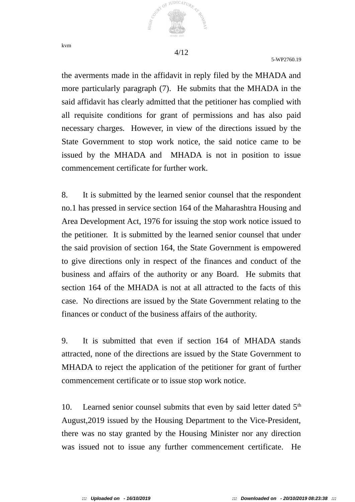

5-WP2760.19

the averments made in the affidavit in reply filed by the MHADA and more particularly paragraph (7). He submits that the MHADA in the said affidavit has clearly admitted that the petitioner has complied with all requisite conditions for grant of permissions and has also paid necessary charges. However, in view of the directions issued by the State Government to stop work notice, the said notice came to be issued by the MHADA and MHADA is not in position to issue commencement certificate for further work.

8. It is submitted by the learned senior counsel that the respondent no.1 has pressed in service section 164 of the Maharashtra Housing and Area Development Act, 1976 for issuing the stop work notice issued to the petitioner. It is submitted by the learned senior counsel that under the said provision of section 164, the State Government is empowered to give directions only in respect of the finances and conduct of the business and affairs of the authority or any Board. He submits that section 164 of the MHADA is not at all attracted to the facts of this case. No directions are issued by the State Government relating to the finances or conduct of the business affairs of the authority.

9. It is submitted that even if section 164 of MHADA stands attracted, none of the directions are issued by the State Government to MHADA to reject the application of the petitioner for grant of further commencement certificate or to issue stop work notice.

10. Learned senior counsel submits that even by said letter dated  $5<sup>th</sup>$ August,2019 issued by the Housing Department to the Vice-President, there was no stay granted by the Housing Minister nor any direction was issued not to issue any further commencement certificate. He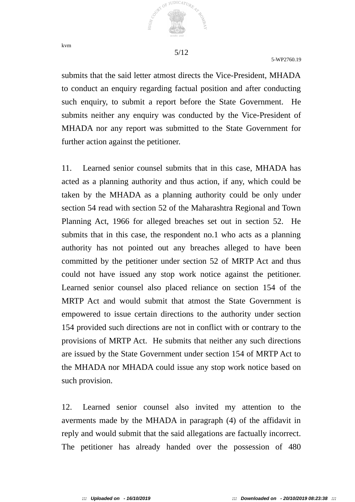

5-WP2760.19

submits that the said letter atmost directs the Vice-President, MHADA to conduct an enquiry regarding factual position and after conducting such enquiry, to submit a report before the State Government. He submits neither any enquiry was conducted by the Vice-President of MHADA nor any report was submitted to the State Government for further action against the petitioner.

11. Learned senior counsel submits that in this case, MHADA has acted as a planning authority and thus action, if any, which could be taken by the MHADA as a planning authority could be only under section 54 read with section 52 of the Maharashtra Regional and Town Planning Act, 1966 for alleged breaches set out in section 52. He submits that in this case, the respondent no.1 who acts as a planning authority has not pointed out any breaches alleged to have been committed by the petitioner under section 52 of MRTP Act and thus could not have issued any stop work notice against the petitioner. Learned senior counsel also placed reliance on section 154 of the MRTP Act and would submit that atmost the State Government is empowered to issue certain directions to the authority under section 154 provided such directions are not in conflict with or contrary to the provisions of MRTP Act. He submits that neither any such directions are issued by the State Government under section 154 of MRTP Act to the MHADA nor MHADA could issue any stop work notice based on such provision.

12. Learned senior counsel also invited my attention to the averments made by the MHADA in paragraph (4) of the affidavit in reply and would submit that the said allegations are factually incorrect. The petitioner has already handed over the possession of 480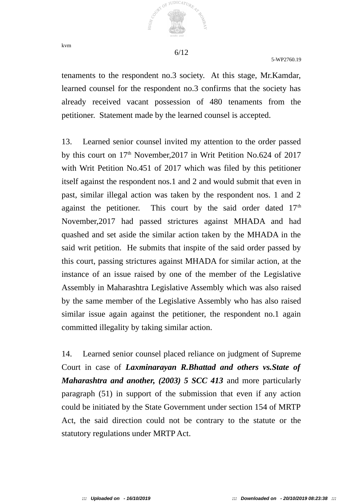

5-WP2760.19

tenaments to the respondent no.3 society. At this stage, Mr.Kamdar, learned counsel for the respondent no.3 confirms that the society has already received vacant possession of 480 tenaments from the petitioner. Statement made by the learned counsel is accepted.

13. Learned senior counsel invited my attention to the order passed by this court on 17<sup>th</sup> November, 2017 in Writ Petition No.624 of 2017 with Writ Petition No.451 of 2017 which was filed by this petitioner itself against the respondent nos.1 and 2 and would submit that even in past, similar illegal action was taken by the respondent nos. 1 and 2 against the petitioner. This court by the said order dated  $17<sup>th</sup>$ November,2017 had passed strictures against MHADA and had quashed and set aside the similar action taken by the MHADA in the said writ petition. He submits that inspite of the said order passed by this court, passing strictures against MHADA for similar action, at the instance of an issue raised by one of the member of the Legislative Assembly in Maharashtra Legislative Assembly which was also raised by the same member of the Legislative Assembly who has also raised similar issue again against the petitioner, the respondent no.1 again committed illegality by taking similar action.

14. Learned senior counsel placed reliance on judgment of Supreme Court in case of *Laxminarayan R.Bhattad and others vs.State of Maharashtra and another, (2003) 5 SCC 413* and more particularly paragraph (51) in support of the submission that even if any action could be initiated by the State Government under section 154 of MRTP Act, the said direction could not be contrary to the statute or the statutory regulations under MRTP Act.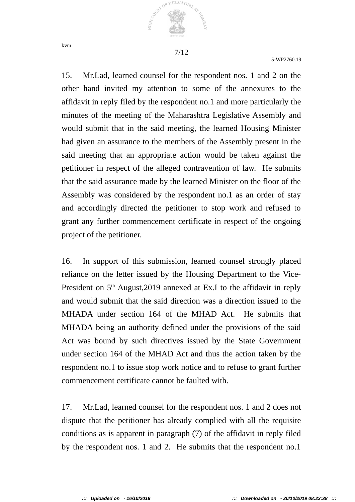kvm



JUDICATURE

 $O_{\tilde{E}}$ 

5-WP2760.19

15. Mr.Lad, learned counsel for the respondent nos. 1 and 2 on the other hand invited my attention to some of the annexures to the affidavit in reply filed by the respondent no.1 and more particularly the minutes of the meeting of the Maharashtra Legislative Assembly and would submit that in the said meeting, the learned Housing Minister had given an assurance to the members of the Assembly present in the said meeting that an appropriate action would be taken against the petitioner in respect of the alleged contravention of law. He submits that the said assurance made by the learned Minister on the floor of the Assembly was considered by the respondent no.1 as an order of stay and accordingly directed the petitioner to stop work and refused to grant any further commencement certificate in respect of the ongoing project of the petitioner.

16. In support of this submission, learned counsel strongly placed reliance on the letter issued by the Housing Department to the Vice-President on  $5<sup>th</sup>$  August, 2019 annexed at Ex.I to the affidavit in reply and would submit that the said direction was a direction issued to the MHADA under section 164 of the MHAD Act. He submits that MHADA being an authority defined under the provisions of the said Act was bound by such directives issued by the State Government under section 164 of the MHAD Act and thus the action taken by the respondent no.1 to issue stop work notice and to refuse to grant further commencement certificate cannot be faulted with.

17. Mr.Lad, learned counsel for the respondent nos. 1 and 2 does not dispute that the petitioner has already complied with all the requisite conditions as is apparent in paragraph (7) of the affidavit in reply filed by the respondent nos. 1 and 2. He submits that the respondent no.1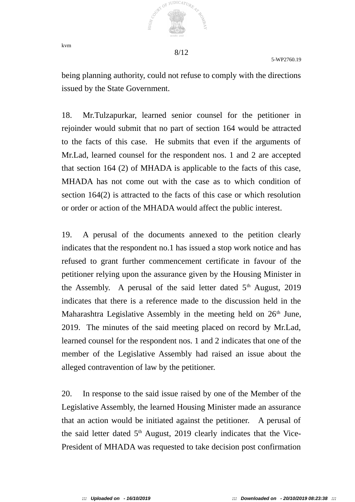

5-WP2760.19

being planning authority, could not refuse to comply with the directions issued by the State Government.

18. Mr.Tulzapurkar, learned senior counsel for the petitioner in rejoinder would submit that no part of section 164 would be attracted to the facts of this case. He submits that even if the arguments of Mr.Lad, learned counsel for the respondent nos. 1 and 2 are accepted that section 164 (2) of MHADA is applicable to the facts of this case, MHADA has not come out with the case as to which condition of section 164(2) is attracted to the facts of this case or which resolution or order or action of the MHADA would affect the public interest.

19. A perusal of the documents annexed to the petition clearly indicates that the respondent no.1 has issued a stop work notice and has refused to grant further commencement certificate in favour of the petitioner relying upon the assurance given by the Housing Minister in the Assembly. A perusal of the said letter dated  $5<sup>th</sup>$  August, 2019 indicates that there is a reference made to the discussion held in the Maharashtra Legislative Assembly in the meeting held on  $26<sup>th</sup>$  June, 2019. The minutes of the said meeting placed on record by Mr.Lad, learned counsel for the respondent nos. 1 and 2 indicates that one of the member of the Legislative Assembly had raised an issue about the alleged contravention of law by the petitioner.

20. In response to the said issue raised by one of the Member of the Legislative Assembly, the learned Housing Minister made an assurance that an action would be initiated against the petitioner. A perusal of the said letter dated  $5<sup>th</sup>$  August, 2019 clearly indicates that the Vice-President of MHADA was requested to take decision post confirmation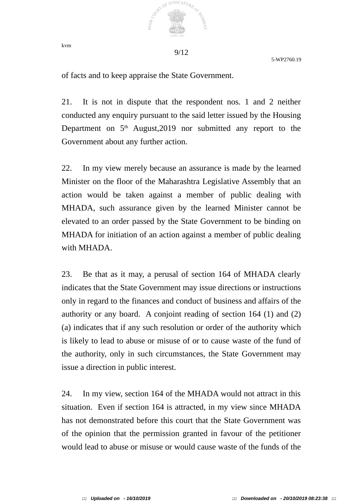

5-WP2760.19

of facts and to keep appraise the State Government.

21. It is not in dispute that the respondent nos. 1 and 2 neither conducted any enquiry pursuant to the said letter issued by the Housing Department on 5<sup>th</sup> August, 2019 nor submitted any report to the Government about any further action.

22. In my view merely because an assurance is made by the learned Minister on the floor of the Maharashtra Legislative Assembly that an action would be taken against a member of public dealing with MHADA, such assurance given by the learned Minister cannot be elevated to an order passed by the State Government to be binding on MHADA for initiation of an action against a member of public dealing with MHADA.

23. Be that as it may, a perusal of section 164 of MHADA clearly indicates that the State Government may issue directions or instructions only in regard to the finances and conduct of business and affairs of the authority or any board. A conjoint reading of section 164 (1) and (2) (a) indicates that if any such resolution or order of the authority which is likely to lead to abuse or misuse of or to cause waste of the fund of the authority, only in such circumstances, the State Government may issue a direction in public interest.

24. In my view, section 164 of the MHADA would not attract in this situation. Even if section 164 is attracted, in my view since MHADA has not demonstrated before this court that the State Government was of the opinion that the permission granted in favour of the petitioner would lead to abuse or misuse or would cause waste of the funds of the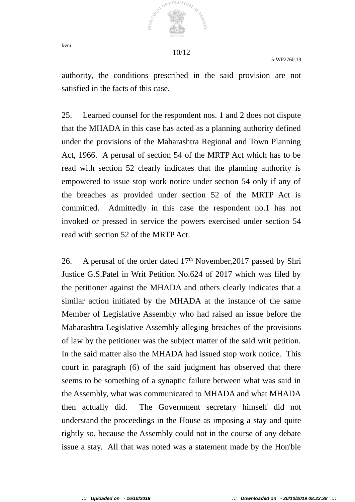

5-WP2760.19

authority, the conditions prescribed in the said provision are not satisfied in the facts of this case.

25. Learned counsel for the respondent nos. 1 and 2 does not dispute that the MHADA in this case has acted as a planning authority defined under the provisions of the Maharashtra Regional and Town Planning Act, 1966. A perusal of section 54 of the MRTP Act which has to be read with section 52 clearly indicates that the planning authority is empowered to issue stop work notice under section 54 only if any of the breaches as provided under section 52 of the MRTP Act is committed. Admittedly in this case the respondent no.1 has not invoked or pressed in service the powers exercised under section 54 read with section 52 of the MRTP Act.

26. A perusal of the order dated  $17<sup>th</sup>$  November, 2017 passed by Shri Justice G.S.Patel in Writ Petition No.624 of 2017 which was filed by the petitioner against the MHADA and others clearly indicates that a similar action initiated by the MHADA at the instance of the same Member of Legislative Assembly who had raised an issue before the Maharashtra Legislative Assembly alleging breaches of the provisions of law by the petitioner was the subject matter of the said writ petition. In the said matter also the MHADA had issued stop work notice. This court in paragraph (6) of the said judgment has observed that there seems to be something of a synaptic failure between what was said in the Assembly, what was communicated to MHADA and what MHADA then actually did. The Government secretary himself did not understand the proceedings in the House as imposing a stay and quite rightly so, because the Assembly could not in the course of any debate issue a stay. All that was noted was a statement made by the Hon'ble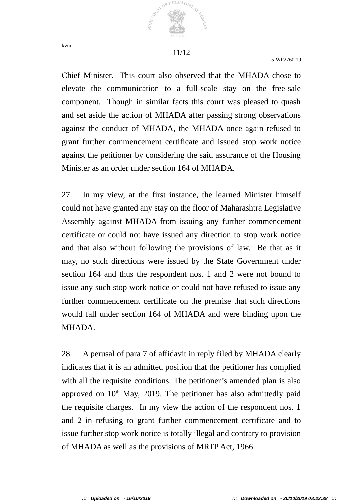

5-WP2760.19

Chief Minister. This court also observed that the MHADA chose to elevate the communication to a full-scale stay on the free-sale component. Though in similar facts this court was pleased to quash and set aside the action of MHADA after passing strong observations against the conduct of MHADA, the MHADA once again refused to grant further commencement certificate and issued stop work notice against the petitioner by considering the said assurance of the Housing Minister as an order under section 164 of MHADA.

27. In my view, at the first instance, the learned Minister himself could not have granted any stay on the floor of Maharashtra Legislative Assembly against MHADA from issuing any further commencement certificate or could not have issued any direction to stop work notice and that also without following the provisions of law. Be that as it may, no such directions were issued by the State Government under section 164 and thus the respondent nos. 1 and 2 were not bound to issue any such stop work notice or could not have refused to issue any further commencement certificate on the premise that such directions would fall under section 164 of MHADA and were binding upon the MHADA.

28. A perusal of para 7 of affidavit in reply filed by MHADA clearly indicates that it is an admitted position that the petitioner has complied with all the requisite conditions. The petitioner's amended plan is also approved on  $10<sup>th</sup>$  May, 2019. The petitioner has also admittedly paid the requisite charges. In my view the action of the respondent nos. 1 and 2 in refusing to grant further commencement certificate and to issue further stop work notice is totally illegal and contrary to provision of MHADA as well as the provisions of MRTP Act, 1966.